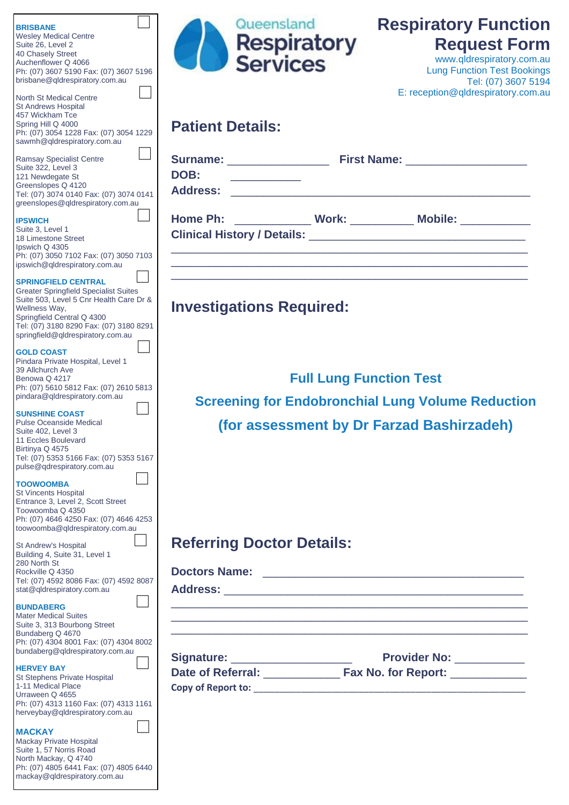| <b>BRISBANE</b><br><b>Wesley Medical Centre</b><br>Suite 26, Level 2<br>40 Chasely Street<br>Auchenflower Q 4066<br>Ph: (07) 3607 5190 Fax: (07) 3607 5196<br>brisbane@qldrespiratory.com.au                                                         | Queensland<br>Respiratory<br>Services                                                      | <b>Respiratory Function</b><br><b>Request Form</b><br>www.qldrespiratory.com.au<br><b>Lung Function Test Bookings</b><br>Tel: (07) 3607 5194 |
|------------------------------------------------------------------------------------------------------------------------------------------------------------------------------------------------------------------------------------------------------|--------------------------------------------------------------------------------------------|----------------------------------------------------------------------------------------------------------------------------------------------|
| <b>North St Medical Centre</b><br><b>St Andrews Hospital</b><br>457 Wickham Tce<br>Spring Hill Q 4000<br>Ph: (07) 3054 1228 Fax: (07) 3054 1229<br>sawmh@qldrespiratory.com.au                                                                       | <b>Patient Details:</b>                                                                    | E: reception@qldrespiratory.com.au                                                                                                           |
| <b>Ramsay Specialist Centre</b><br>Suite 322, Level 3<br>121 Newdegate St<br>Greenslopes Q 4120<br>Tel: (07) 3074 0140 Fax: (07) 3074 0141<br>greenslopes@qldrespiratory.com.au                                                                      | DOB:                                                                                       |                                                                                                                                              |
| <b>IPSWICH</b><br>Suite 3, Level 1<br>18 Limestone Street<br>Ipswich Q 4305<br>Ph: (07) 3050 7102 Fax: (07) 3050 7103<br>ipswich@qldrespiratory.com.au                                                                                               | Home Ph: ______________ Work: __________ Mobile: __________                                |                                                                                                                                              |
| <b>SPRINGFIELD CENTRAL</b><br><b>Greater Springfield Specialist Suites</b><br>Suite 503, Level 5 Cnr Health Care Dr &<br>Wellness Way,<br>Springfield Central Q 4300<br>Tel: (07) 3180 8290 Fax: (07) 3180 8291<br>springfield@qldrespiratory.com.au | <b>Investigations Required:</b>                                                            |                                                                                                                                              |
| <b>GOLD COAST</b><br>Pindara Private Hospital, Level 1<br>39 Allchurch Ave<br>Benowa Q 4217<br>Ph: (07) 5610 5812 Fax: (07) 2610 5813<br>pindara@qldrespiratory.com.au                                                                               | <b>Full Lung Function Test</b><br><b>Screening for Endobronchial Lung Volume Reduction</b> |                                                                                                                                              |
| <b>SUNSHINE COAST</b><br><b>Pulse Oceanside Medical</b><br>Suite 402, Level 3<br>11 Eccles Boulevard<br>Birtinya Q 4575<br>Tel: (07) 5353 5166 Fax: (07) 5353 5167<br>pulse@qdrespiratory.com.au                                                     | (for assessment by Dr Farzad Bashirzadeh)                                                  |                                                                                                                                              |
| <b>TOOWOOMBA</b><br><b>St Vincents Hospital</b><br>Entrance 3, Level 2, Scott Street<br>Toowoomba Q 4350<br>Ph: (07) 4646 4250 Fax: (07) 4646 4253<br>toowoomba@qldrespiratory.com.au                                                                |                                                                                            |                                                                                                                                              |
| St Andrew's Hospital<br>Building 4, Suite 31, Level 1                                                                                                                                                                                                | <b>Referring Doctor Details:</b>                                                           |                                                                                                                                              |
| 280 North St<br>Rockville Q 4350<br>Tel: (07) 4592 8086 Fax: (07) 4592 8087<br>stat@qldrespiratory.com.au                                                                                                                                            |                                                                                            |                                                                                                                                              |
| <b>BUNDABERG</b><br><b>Mater Medical Suites</b><br>Suite 3, 313 Bourbong Street<br>Bundaberg Q 4670                                                                                                                                                  |                                                                                            |                                                                                                                                              |
| Ph: (07) 4304 8001 Fax: (07) 4304 8002<br>bundaberg@qldrespiratory.com.au                                                                                                                                                                            | Signature: _____________________                                                           | Provider No: __________                                                                                                                      |
| <b>HERVEY BAY</b><br>St Stephens Private Hospital<br>1-11 Medical Place<br>Urraween Q 4655<br>Ph: (07) 4313 1160 Fax: (07) 4313 1161<br>herveybay@qldrespiratory.com.au                                                                              |                                                                                            |                                                                                                                                              |
| <b>MACKAY</b><br>Mackay Private Hospital<br>Suite 1, 57 Norris Road<br>North Mackay, Q 4740<br>Ph: (07) 4805 6441 Fax: (07) 4805 6440<br>mackay@qldrespiratory.com.au                                                                                |                                                                                            |                                                                                                                                              |